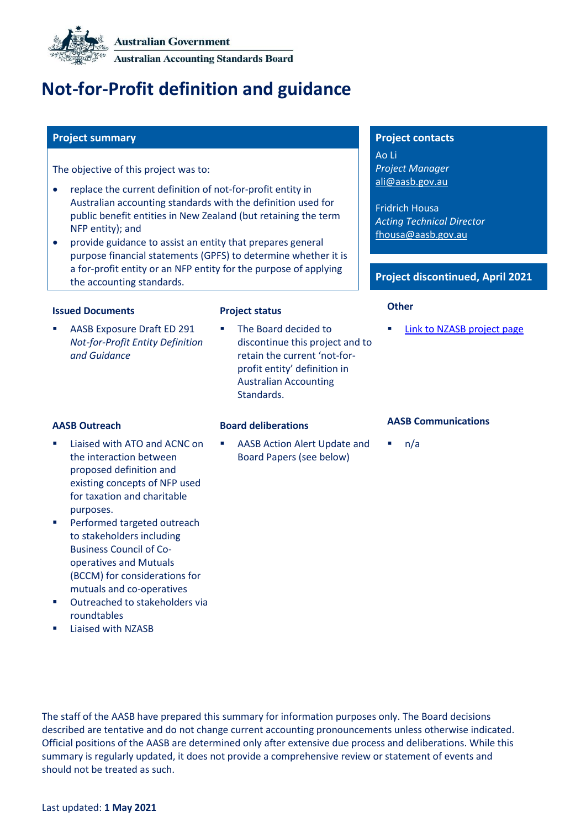

# **Not-for-Profit definition and guidance**

The objective of this project was to:

- replace the current definition of not-for-profit entity in Australian accounting standards with the definition used for public benefit entities in New Zealand (but retaining the term NFP entity); and
- provide guidance to assist an entity that prepares general purpose financial statements (GPFS) to determine whether it is a for-profit entity or an NFP entity for the purpose of applying the accounting standards.

# **Issued Documents Project status Other**

AASB Exposure Draft ED 291 *Not-for-Profit Entity Definition and Guidance*

The Board decided to discontinue this project and to retain the current 'not-forprofit entity' definition in Australian Accounting Standards.

■ AASB Action Alert Update and [Board Papers](#page-2-0) (see below)

### **Project summary Project contacts**

Ao Li *Project Manager* [ali@aasb.gov.au](mailto:ali@aasb.gov.au)

Fridrich Housa *Acting Technical Director* [fhousa@aasb.gov.au](mailto:fhousa@aasb.gov.au)

## **Project discontinued, April 2021**

[Link to NZASB project page](https://www.xrb.govt.nz/accounting-standards/standards-in-development/open-for-comment/xrb-ed-2018/)

- Liaised with ATO and ACNC on the interaction between proposed definition and existing concepts of NFP used for taxation and charitable purposes.
- **Performed targeted outreach** to stakeholders including Business Council of Cooperatives and Mutuals (BCCM) for considerations for mutuals and co-operatives
- Outreached to stakeholders via roundtables
- Liaised with NZASB

# **AASB Outreach Board deliberations AASB Communications**

 $n/a$ 

The staff of the AASB have prepared this summary for information purposes only. The Board decisions described are tentative and do not change current accounting pronouncements unless otherwise indicated. Official positions of the AASB are determined only after extensive due process and deliberations. While this summary is regularly updated, it does not provide a comprehensive review or statement of events and should not be treated as such.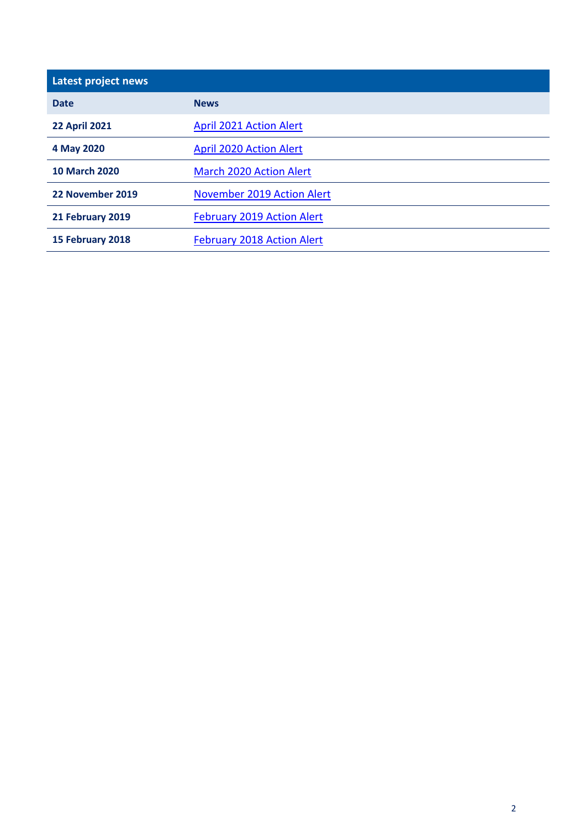| Latest project news  |                                   |  |
|----------------------|-----------------------------------|--|
| <b>Date</b>          | <b>News</b>                       |  |
| <b>22 April 2021</b> | <b>April 2021 Action Alert</b>    |  |
| 4 May 2020           | <b>April 2020 Action Alert</b>    |  |
| <b>10 March 2020</b> | <b>March 2020 Action Alert</b>    |  |
| 22 November 2019     | <b>November 2019 Action Alert</b> |  |
| 21 February 2019     | <b>February 2019 Action Alert</b> |  |
| 15 February 2018     | <b>February 2018 Action Alert</b> |  |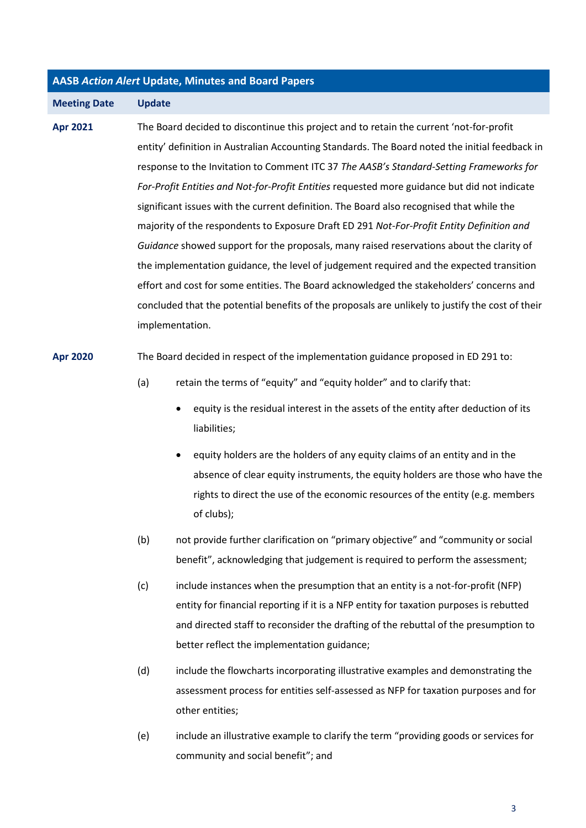### <span id="page-2-0"></span>**AASB** *Action Alert* **Update, Minutes and Board Papers**

**Meeting Date Update**

**Apr 2021** The Board decided to discontinue this project and to retain the current 'not-for-profit entity' definition in Australian Accounting Standards. The Board noted the initial feedback in response to the Invitation to Comment ITC 37 *The AASB's Standard-Setting Frameworks for For-Profit Entities and Not-for-Profit Entities* requested more guidance but did not indicate significant issues with the current definition. The Board also recognised that while the majority of the respondents to Exposure Draft ED 291 *Not-For-Profit Entity Definition and Guidance* showed support for the proposals, many raised reservations about the clarity of the implementation guidance, the level of judgement required and the expected transition effort and cost for some entities. The Board acknowledged the stakeholders' concerns and concluded that the potential benefits of the proposals are unlikely to justify the cost of their implementation.

### **Apr 2020** The Board decided in respect of the implementation guidance proposed in ED 291 to:

- (a) retain the terms of "equity" and "equity holder" and to clarify that:
	- equity is the residual interest in the assets of the entity after deduction of its liabilities;
	- equity holders are the holders of any equity claims of an entity and in the absence of clear equity instruments, the equity holders are those who have the rights to direct the use of the economic resources of the entity (e.g. members of clubs);
- (b) not provide further clarification on "primary objective" and "community or social benefit", acknowledging that judgement is required to perform the assessment;
- (c) include instances when the presumption that an entity is a not-for-profit (NFP) entity for financial reporting if it is a NFP entity for taxation purposes is rebutted and directed staff to reconsider the drafting of the rebuttal of the presumption to better reflect the implementation guidance;
- (d) include the flowcharts incorporating illustrative examples and demonstrating the assessment process for entities self-assessed as NFP for taxation purposes and for other entities;
- (e) include an illustrative example to clarify the term "providing goods or services for community and social benefit"; and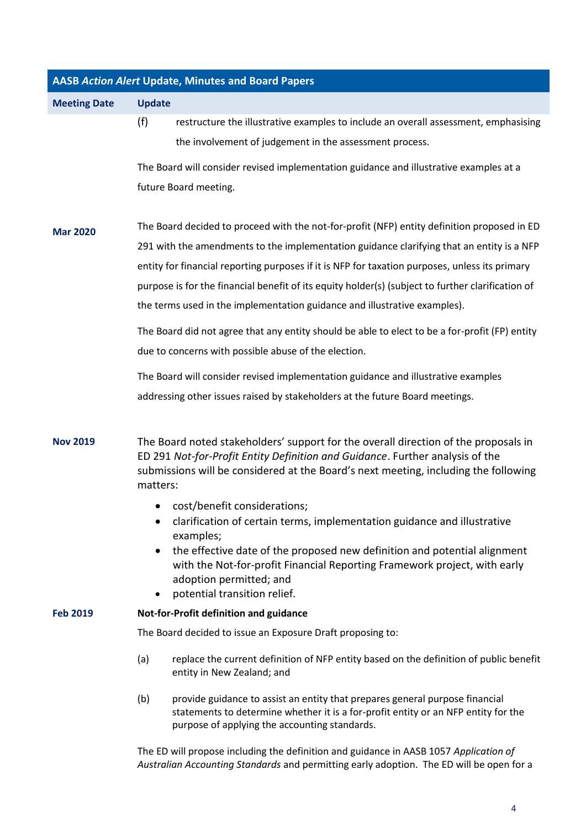| <b>AASB Action Alert Update, Minutes and Board Papers</b> |                                                                                                                                                                                                                                                                         |  |  |
|-----------------------------------------------------------|-------------------------------------------------------------------------------------------------------------------------------------------------------------------------------------------------------------------------------------------------------------------------|--|--|
| <b>Meeting Date</b>                                       | <b>Update</b>                                                                                                                                                                                                                                                           |  |  |
|                                                           | (f)<br>restructure the illustrative examples to include an overall assessment, emphasising                                                                                                                                                                              |  |  |
|                                                           | the involvement of judgement in the assessment process.                                                                                                                                                                                                                 |  |  |
|                                                           | The Board will consider revised implementation guidance and illustrative examples at a                                                                                                                                                                                  |  |  |
|                                                           | future Board meeting.                                                                                                                                                                                                                                                   |  |  |
| <b>Mar 2020</b>                                           | The Board decided to proceed with the not-for-profit (NFP) entity definition proposed in ED                                                                                                                                                                             |  |  |
|                                                           | 291 with the amendments to the implementation guidance clarifying that an entity is a NFP                                                                                                                                                                               |  |  |
|                                                           | entity for financial reporting purposes if it is NFP for taxation purposes, unless its primary                                                                                                                                                                          |  |  |
|                                                           | purpose is for the financial benefit of its equity holder(s) (subject to further clarification of                                                                                                                                                                       |  |  |
|                                                           | the terms used in the implementation guidance and illustrative examples).                                                                                                                                                                                               |  |  |
|                                                           | The Board did not agree that any entity should be able to elect to be a for-profit (FP) entity                                                                                                                                                                          |  |  |
|                                                           | due to concerns with possible abuse of the election.                                                                                                                                                                                                                    |  |  |
|                                                           | The Board will consider revised implementation guidance and illustrative examples                                                                                                                                                                                       |  |  |
|                                                           | addressing other issues raised by stakeholders at the future Board meetings.                                                                                                                                                                                            |  |  |
| <b>Nov 2019</b>                                           | The Board noted stakeholders' support for the overall direction of the proposals in<br>ED 291 Not-for-Profit Entity Definition and Guidance. Further analysis of the<br>submissions will be considered at the Board's next meeting, including the following<br>matters: |  |  |
|                                                           | cost/benefit considerations;<br>$\bullet$                                                                                                                                                                                                                               |  |  |
|                                                           | clarification of certain terms, implementation guidance and illustrative<br>examples;                                                                                                                                                                                   |  |  |
|                                                           | the effective date of the proposed new definition and potential alignment<br>with the Not-for-profit Financial Reporting Framework project, with early<br>adoption permitted; and<br>potential transition relief.<br>$\bullet$                                          |  |  |
| <b>Feb 2019</b>                                           | Not-for-Profit definition and guidance                                                                                                                                                                                                                                  |  |  |
|                                                           | The Board decided to issue an Exposure Draft proposing to:                                                                                                                                                                                                              |  |  |
|                                                           | replace the current definition of NFP entity based on the definition of public benefit<br>(a)<br>entity in New Zealand; and                                                                                                                                             |  |  |
|                                                           | provide guidance to assist an entity that prepares general purpose financial<br>(b)<br>statements to determine whether it is a for-profit entity or an NFP entity for the<br>purpose of applying the accounting standards.                                              |  |  |
|                                                           | The ED will propose including the definition and guidance in AASB 1057 Application of                                                                                                                                                                                   |  |  |

*Australian Accounting Standards* and permitting early adoption. The ED will be open for a